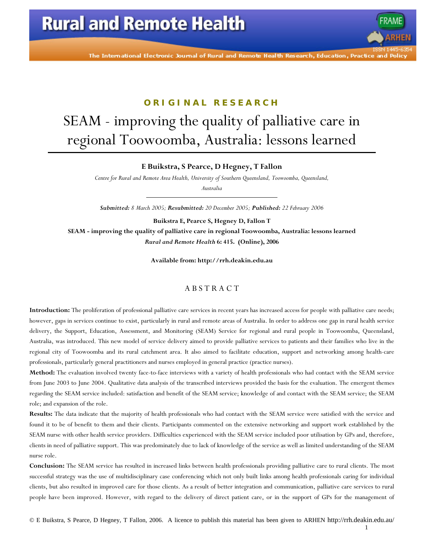# **Rural and Remote Health**

The International Electronic Journal of Rural and Remote Health Research, Education, Practice and Polic

### **ORIGINAL RESEARCH**

# SEAM - improving the quality of palliative care in regional Toowoomba, Australia: lessons learned

### **E Buikstra, S Pearce, D Hegney, T Fallon**

*Centre for Rural and Remote Area Health, University of Southern Queensland, Toowoomba, Queensland,* 

*Australia* 

*Submitted: 8 March 2005; Resubmitted: 20 December 2005; Published: 22 February 2006* 

**Buikstra E, Pearce S, Hegney D, Fallon T SEAM - improving the quality of palliative care in regional Toowoomba, Australia: lessons learned**  *Rural and Remote Health* **6: 415. (Online), 2006** 

**Available from: http://rrh.deakin.edu.au** 

### A B S T R A C T

**Introduction:** The proliferation of professional palliative care services in recent years has increased access for people with palliative care needs; however, gaps in services continue to exist, particularly in rural and remote areas of Australia. In order to address one gap in rural health service delivery, the Support, Education, Assessment, and Monitoring (SEAM) Service for regional and rural people in Toowoomba, Queensland, Australia, was introduced. This new model of service delivery aimed to provide palliative services to patients and their families who live in the regional city of Toowoomba and its rural catchment area. It also aimed to facilitate education, support and networking among health-care professionals, particularly general practitioners and nurses employed in general practice (practice nurses).

**Method:** The evaluation involved twenty face-to-face interviews with a variety of health professionals who had contact with the SEAM service from June 2003 to June 2004. Qualitative data analysis of the transcribed interviews provided the basis for the evaluation. The emergent themes regarding the SEAM service included: satisfaction and benefit of the SEAM service; knowledge of and contact with the SEAM service; the SEAM role; and expansion of the role.

**Results:** The data indicate that the majority of health professionals who had contact with the SEAM service were satisfied with the service and found it to be of benefit to them and their clients. Participants commented on the extensive networking and support work established by the SEAM nurse with other health service providers. Difficulties experienced with the SEAM service included poor utilisation by GPs and, therefore, clients in need of palliative support. This was predominately due to lack of knowledge of the service as well as limited understanding of the SEAM nurse role.

**Conclusion:** The SEAM service has resulted in increased links between health professionals providing palliative care to rural clients. The most successful strategy was the use of multidisciplinary case conferencing which not only built links among health professionals caring for individual clients, but also resulted in improved care for those clients. As a result of better integration and communication, palliative care services to rural people have been improved. However, with regard to the delivery of direct patient care, or in the support of GPs for the management of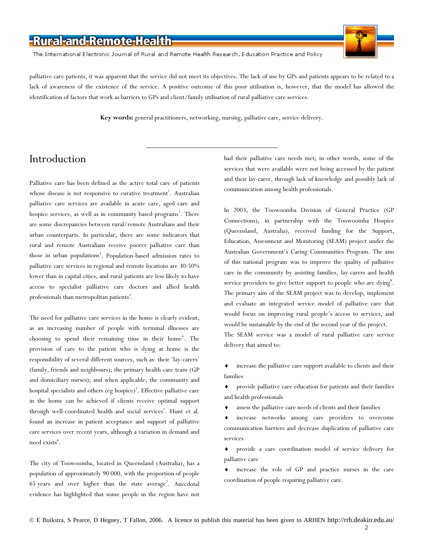The International Electronic Journal of Rural and Remote Health Research, Education Practice and Policy



palliative care patients, it was apparent that the service did not meet its objectives. The lack of use by GPs and patients appears to be related to a lack of awareness of the existence of the service. A positive outcome of this poor utilisation is, however, that the model has allowed the identification of factors that work as barriers to GPs and client/family utilisation of rural palliative care services.

**Key words:** general practitioners, networking, nursing, palliative care, service delivery.

### Introduction

Palliative care has been defined as the active total care of patients whose disease is not responsive to curative treatment<sup>1</sup>. Australian palliative care services are available in acute care, aged care and hospice services, as well as in community based programs<sup>2</sup>. There are some discrepancies between rural/remote Australians and their urban counterparts. In particular, there are some indicators that rural and remote Australians receive poorer palliative care than those in urban populations<sup>3</sup>. Population-based admission rates to palliative care services in regional and remote locations are 30-50% lower than in capital cities, and rural patients are less likely to have access to specialist palliative care doctors and allied health professionals than metropolitan patients<sup>3</sup>.

The need for palliative care services in the home is clearly evident, as an increasing number of people with terminal illnesses are choosing to spend their remaining time in their home<sup>4</sup>. The provision of care to the patient who is dying at home is the responsibility of several different sources, such as: their 'lay-carers' (family, friends and neighbours); the primary health-care team (GP and domiciliary nurses); and when applicable, the community and hospital specialists and others (eg hospice)<sup>5</sup>. Effective palliative care in the home can be achieved if clients receive optimal support through well-coordinated health and social services<sup>1</sup>. Hunt et al. found an increase in patient acceptance and support of palliative care services over recent years, although a variation in demand and need exists<sup>6</sup>.

The city of Toowoomba, located in Queensland (Australia), has a population of approximately 90 000, with the proportion of people 65 years and over higher than the state average<sup>7</sup>. Anecdotal evidence has highlighted that some people in the region have not

had their palliative care needs met; in other words, some of the services that were available were not being accessed by the patient and their lay-carer, through lack of knowledge and possibly lack of communication among health professionals.

In 2003, the Toowoomba Division of General Practice (GP Connections), in partnership with the Toowoomba Hospice (Queensland, Australia), received funding for the Support, Education, Assessment and Monitoring (SEAM) project under the Australian Government's Caring Communities Program. The aim of this national program was to improve the quality of palliative care in the community by assisting families, lay-carers and health service providers to give better support to people who are dying<sup>8</sup>. The primary aim of the SEAM project was to develop, implement and evaluate an integrated service model of palliative care that would focus on improving rural people's access to services, and would be sustainable by the end of the second year of the project. The SEAM service was a model of rural palliative care service delivery that aimed to:

increase the palliative care support available to clients and their families

♦ provide palliative care education for patients and their families and health professionals

assess the palliative care needs of clients and their families

increase networks among care providers to overcome communication barriers and decrease duplication of palliative care services

provide a care coordination model of service delivery for palliative care

increase the role of GP and practice nurses in the care coordination of people requiring palliative care.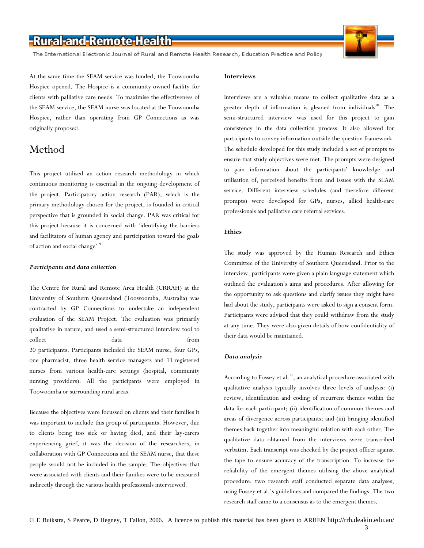The International Electronic Journal of Rural and Remote Health Research, Education Practice and Policy

At the same time the SEAM service was funded, the Toowoomba Hospice opened. The Hospice is a community-owned facility for clients with palliative care needs. To maximise the effectiveness of the SEAM service, the SEAM nurse was located at the Toowoomba Hospice, rather than operating from GP Connections as was originally proposed.

### Method

This project utilised an action research methodology in which continuous monitoring is essential in the ongoing development of the project. Participatory action research (PAR), which is the primary methodology chosen for the project, is founded in critical perspective that is grounded in social change. PAR was critical for this project because it is concerned with 'identifying the barriers and facilitators of human agency and participation toward the goals of action and social change' <sup>9</sup>.

#### *Participants and data collection*

The Centre for Rural and Remote Area Health (CRRAH) at the University of Southern Queensland (Toowoomba, Australia) was contracted by GP Connections to undertake an independent evaluation of the SEAM Project. The evaluation was primarily qualitative in nature, and used a semi-structured interview tool to collect data from 20 participants. Participants included the SEAM nurse, four GPs, one pharmacist, three health service managers and 11 registered nurses from various health-care settings (hospital, community nursing providers). All the participants were employed in Toowoomba or surrounding rural areas.

Because the objectives were focussed on clients and their families it was important to include this group of participants. However, due to clients being too sick or having died, and their lay-carers experiencing grief, it was the decision of the researchers, in collaboration with GP Connections and the SEAM nurse, that these people would not be included in the sample. The objectives that were associated with clients and their families were to be measured indirectly through the various health professionals interviewed.

#### **Interviews**

Interviews are a valuable means to collect qualitative data as a greater depth of information is gleaned from individuals<sup>10</sup>. The semi-structured interview was used for this project to gain consistency in the data collection process. It also allowed for participants to convey information outside the question framework. The schedule developed for this study included a set of prompts to ensure that study objectives were met. The prompts were designed to gain information about the participants' knowledge and utilisation of, perceived benefits from and issues with the SEAM service. Different interview schedules (and therefore different prompts) were developed for GPs, nurses, allied health-care professionals and palliative care referral services.

### **Ethics**

The study was approved by the Human Research and Ethics Committee of the University of Southern Queensland. Prior to the interview, participants were given a plain language statement which outlined the evaluation's aims and procedures. After allowing for the opportunity to ask questions and clarify issues they might have had about the study, participants were asked to sign a consent form. Participants were advised that they could withdraw from the study at any time. They were also given details of how confidentiality of their data would be maintained.

### *Data analysis*

According to Fossey et al.<sup>11</sup>, an analytical procedure associated with qualitative analysis typically involves three levels of analysis: (i) review, identification and coding of recurrent themes within the data for each participant; (ii) identification of common themes and areas of divergence across participants; and (iii) bringing identified themes back together into meaningful relation with each other. The qualitative data obtained from the interviews were transcribed verbatim. Each transcript was checked by the project officer against the tape to ensure accuracy of the transcription. To increase the reliability of the emergent themes utilising the above analytical procedure, two research staff conducted separate data analyses, using Fossey et al.'s guidelines and compared the findings. The two research staff came to a consensus as to the emergent themes.

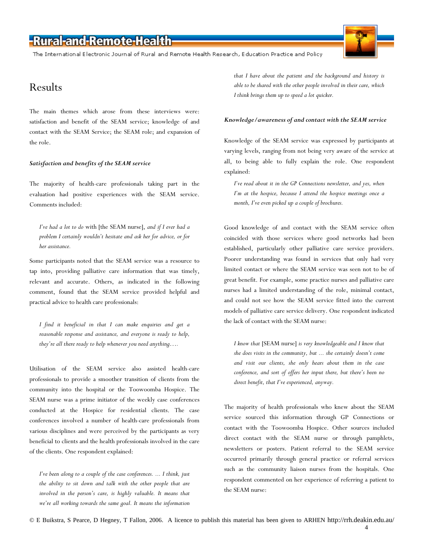The International Electronic Journal of Rural and Remote Health Research, Education Practice and Policy

### Results

The main themes which arose from these interviews were: satisfaction and benefit of the SEAM service; knowledge of and contact with the SEAM Service; the SEAM role; and expansion of the role.

### *Satisfaction and benefits of the SEAM service*

The majority of health-care professionals taking part in the evaluation had positive experiences with the SEAM service. Comments included:

*I've had a lot to do* with [the SEAM nurse], *and if I ever had a problem I certainly wouldn't hesitate and ask her for advice, or for her assistance.* 

Some participants noted that the SEAM service was a resource to tap into, providing palliative care information that was timely, relevant and accurate. Others, as indicated in the following comment, found that the SEAM service provided helpful and practical advice to health care professionals:

*I find it beneficial in that I can make enquiries and get a reasonable response and assistance, and everyone is ready to help, they're all there ready to help whenever you need anything….* 

Utilisation of the SEAM service also assisted health-care professionals to provide a smoother transition of clients from the community into the hospital or the Toowoomba Hospice. The SEAM nurse was a prime initiator of the weekly case conferences conducted at the Hospice for residential clients. The case conferences involved a number of health-care professionals from various disciplines and were perceived by the participants as very beneficial to clients and the health professionals involved in the care of the clients. One respondent explained:

*I've been along to a couple of the case conferences. ... I think, just the ability to sit down and talk with the other people that are involved in the person's care, is highly valuable. It means that we're all working towards the same goal. It means the information*  *that I have about the patient and the background and history is able to be shared with the other people involved in their care, which I think brings them up to speed a lot quicker.* 

#### *Knowledge/awareness of and contact with the SEAM service*

Knowledge of the SEAM service was expressed by participants at varying levels, ranging from not being very aware of the service at all, to being able to fully explain the role. One respondent explained:

*I've read about it in the GP Connections newsletter, and yes, when I'm at the hospice, because I attend the hospice meetings once a month, I've even picked up a couple of brochures.* 

Good knowledge of and contact with the SEAM service often coincided with those services where good networks had been established, particularly other palliative care service providers. Poorer understanding was found in services that only had very limited contact or where the SEAM service was seen not to be of great benefit. For example, some practice nurses and palliative care nurses had a limited understanding of the role, minimal contact, and could not see how the SEAM service fitted into the current models of palliative care service delivery. One respondent indicated the lack of contact with the SEAM nurse:

*I know that* [SEAM nurse] *is very knowledgeable and I know that she does visits in the community, but ... she certainly doesn't come and visit our clients, she only hears about them in the case conference, and sort of offers her input there, but there's been no direct benefit, that I've experienced, anyway.* 

The majority of health professionals who knew about the SEAM service sourced this information through GP Connections or contact with the Toowoomba Hospice. Other sources included direct contact with the SEAM nurse or through pamphlets, newsletters or posters. Patient referral to the SEAM service occurred primarily through general practice or referral services such as the community liaison nurses from the hospitals. One respondent commented on her experience of referring a patient to the SEAM nurse: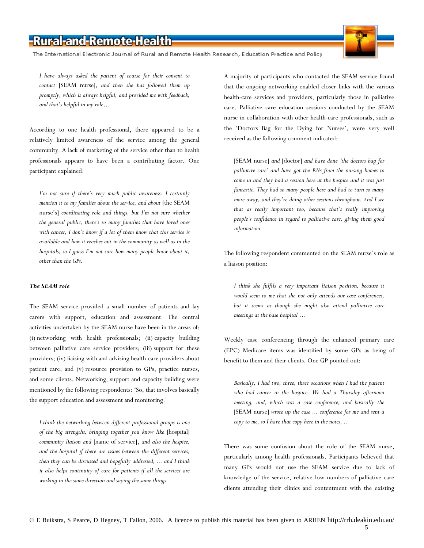The International Electronic Journal of Rural and Remote Health Research, Education Practice and Policy

*I have always asked the patient of course for their consent to contact* [SEAM nurse], *and then she has followed them up promptly, which is always helpful, and provided me with feedback, and that's helpful in my role…* 

According to one health professional, there appeared to be a relatively limited awareness of the service among the general community. A lack of marketing of the service other than to health professionals appears to have been a contributing factor. One participant explained:

*I'm not sure if there's very much public awareness. I certainly mention it to my families about the service, and about* [the SEAM nurse's] *coordinating role and things, but I'm not sure whether the general public, there's so many families that have loved ones with cancer, I don't know if a lot of them know that this service is available and how it reaches out in the community as well as in the hospitals, so I guess I'm not sure how many people know about it, other than the GPs.* 

### *The SEAM role*

The SEAM service provided a small number of patients and lay carers with support, education and assessment. The central activities undertaken by the SEAM nurse have been in the areas of: (i) networking with health professionals; (ii) capacity building between palliative care service providers; (iii) support for these providers; (iv) liaising with and advising health-care providers about patient care; and (v) resource provision to GPs, practice nurses, and some clients. Networking, support and capacity building were mentioned by the following respondents: 'So, that involves basically the support education and assessment and monitoring.'

*I think the networking between different professional groups is one of the big strengths, bringing together you know like* [hospital] *community liaison and* [name of service], *and also the hospice, and the hospital if there are issues between the different services, then they can be discussed and hopefully addressed, ... and I think it also helps continuity of care for patients if all the services are working in the same direction and saying the same things.* 

A majority of participants who contacted the SEAM service found that the ongoing networking enabled closer links with the various health-care services and providers, particularly those in palliative care. Palliative care education sessions conducted by the SEAM nurse in collaboration with other health-care professionals, such as the 'Doctors Bag for the Dying for Nurses', were very well received as the following comment indicated:

[SEAM nurse] *and* [doctor] *and have done 'the doctors bag for palliative care' and have got the RNs from the nursing homes to come in and they had a session here at the hospice and it was just fantastic. They had so many people here and had to turn so many more away, and they're doing other sessions throughout. And I see that as really important too, because that's really improving people's confidence in regard to palliative care, giving them good information.* 

The following respondent commented on the SEAM nurse's role as a liaison position:

*I think she fulfils a very important liaison position, because it would seem to me that she not only attends our case conferences, but it seems as though she might also attend palliative care meetings at the base hospital …* 

Weekly case conferencing through the enhanced primary care (EPC) Medicare items was identified by some GPs as being of benefit to them and their clients. One GP pointed out:

*Basically, I had two, three, three occasions when I had the patient who had cancer in the hospice. We had a Thursday afternoon meeting, and, which was a case conference, and basically the*  [SEAM nurse] *wrote up the case ... conference for me and sent a copy to me, so I have that copy here in the notes, ...* 

There was some confusion about the role of the SEAM nurse, particularly among health professionals. Participants believed that many GPs would not use the SEAM service due to lack of knowledge of the service, relative low numbers of palliative care clients attending their clinics and contentment with the existing

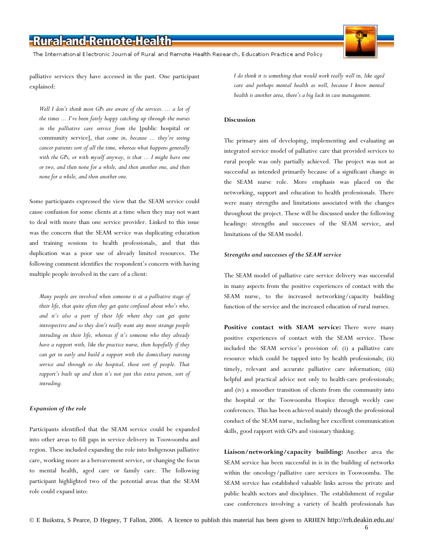The International Electronic Journal of Rural and Remote Health Research, Education Practice and Policy

palliative services they have accessed in the past. One participant explained:

Well I don't think most GPs are aware of the services. ... a lot of *the times ... I've been fairly happy catching up through the nurses in the palliative care service from the* [public hospital or community service], *that come in, because ... they're seeing cancer patients sort of all the time, whereas what happens generally with the GPs, or with myself anyway, is that ... I might have one or two, and then none for a while, and then another one, and then none for a while, and then another one.* 

Some participants expressed the view that the SEAM service could cause confusion for some clients at a time when they may not want to deal with more than one service provider. Linked to this issue was the concern that the SEAM service was duplicating education and training sessions to health professionals, and that this duplication was a poor use of already limited resources. The following comment identifies the respondent's concern with having multiple people involved in the care of a client:

*Many people are involved when someone is at a palliative stage of their life, that quite often they get quite confused about who's who, and it's also a part of their life where they can get quite introspective and so they don't really want any more strange people intruding on their life, whereas if it's someone who they already have a rapport with, like the practice nurse, then hopefully if they can get in early and build a rapport with the domiciliary nursing service and through to the hospital, those sort of people. That rapport's built up and then it's not just this extra person, sort of intruding.* 

#### *Expansion of the role*

Participants identified that the SEAM service could be expanded into other areas to fill gaps in service delivery in Toowoomba and region. These included expanding the role into Indigenous palliative care, working more as a bereavement service, or changing the focus to mental health, aged care or family care. The following participant highlighted two of the potential areas that the SEAM role could expand into:

*I do think it is something that would work really well in, like aged care and perhaps mental health as well, because I know mental health is another area, there's a big lack in case management.* 

#### **Discussion**

The primary aim of developing, implementing and evaluating an integrated service model of palliative care that provided services to rural people was only partially achieved. The project was not as successful as intended primarily because of a significant change in the SEAM nurse role. More emphasis was placed on the networking, support and education to health professionals. There were many strengths and limitations associated with the changes throughout the project. These will be discussed under the following headings: strengths and successes of the SEAM service, and limitations of the SEAM model.

#### *Strengths and successes of the SEAM service*

The SEAM model of palliative care service delivery was successful in many aspects from the positive experiences of contact with the SEAM nurse, to the increased networking/capacity building function of the service and the increased education of rural nurses.

Positive contact with SEAM service: There were many positive experiences of contact with the SEAM service. These included the SEAM service's provision of: (i) a palliative care resource which could be tapped into by health professionals; (ii) timely, relevant and accurate palliative care information; (iii) helpful and practical advice not only to health-care professionals; and (iv) a smoother transition of clients from the community into the hospital or the Toowoomba Hospice through weekly case conferences. This has been achieved mainly through the professional conduct of the SEAM nurse, including her excellent communication skills, good rapport with GPs and visionary thinking.

**Liaison/networking/capacity building:** Another area the SEAM service has been successful in is in the building of networks within the oncology/palliative care services in Toowoomba. The SEAM service has established valuable links across the private and public health sectors and disciplines. The establishment of regular case conferences involving a variety of health professionals has

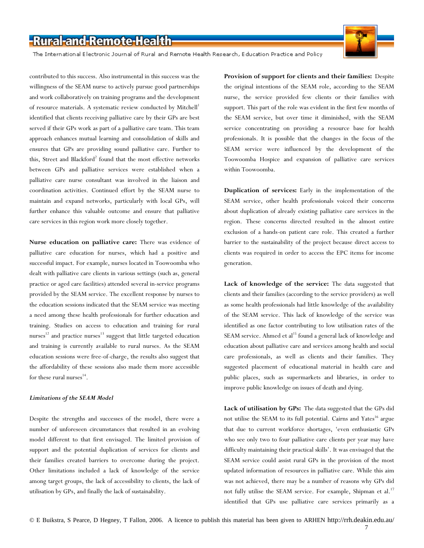The International Electronic Journal of Rural and Remote Health Research, Education Practice and Policy



contributed to this success. Also instrumental in this success was the willingness of the SEAM nurse to actively pursue good partnerships and work collaboratively on training programs and the development of resource materials. A systematic review conducted by Mitchell<sup>1</sup> identified that clients receiving palliative care by their GPs are best served if their GPs work as part of a palliative care team. This team approach enhances mutual learning and consolidation of skills and ensures that GPs are providing sound palliative care. Further to this, Street and Blackford<sup>2</sup> found that the most effective networks between GPs and palliative services were established when a palliative care nurse consultant was involved in the liaison and coordination activities. Continued effort by the SEAM nurse to maintain and expand networks, particularly with local GPs, will further enhance this valuable outcome and ensure that palliative care services in this region work more closely together.

**Nurse education on palliative care:** There was evidence of palliative care education for nurses, which had a positive and successful impact. For example, nurses located in Toowoomba who dealt with palliative care clients in various settings (such as, general practice or aged care facilities) attended several in-service programs provided by the SEAM service. The excellent response by nurses to the education sessions indicated that the SEAM service was meeting a need among these health professionals for further education and training. Studies on access to education and training for rural nurses $12$  and practice nurses $13$  suggest that little targeted education and training is currently available to rural nurses. As the SEAM education sessions were free-of-charge, the results also suggest that the affordability of these sessions also made them more accessible for these rural nurses $^{14}$ .

### *Limitations of the SEAM Model*

Despite the strengths and successes of the model, there were a number of unforeseen circumstances that resulted in an evolving model different to that first envisaged. The limited provision of support and the potential duplication of services for clients and their families created barriers to overcome during the project. Other limitations included a lack of knowledge of the service among target groups, the lack of accessibility to clients, the lack of utilisation by GPs, and finally the lack of sustainability.

**Provision of support for clients and their families:** Despite the original intentions of the SEAM role, according to the SEAM nurse, the service provided few clients or their families with support. This part of the role was evident in the first few months of the SEAM service, but over time it diminished, with the SEAM service concentrating on providing a resource base for health professionals. It is possible that the changes in the focus of the SEAM service were influenced by the development of the Toowoomba Hospice and expansion of palliative care services within Toowoomba.

**Duplication of services:** Early in the implementation of the SEAM service, other health professionals voiced their concerns about duplication of already existing palliative care services in the region. These concerns directed resulted in the almost entire exclusion of a hands-on patient care role. This created a further barrier to the sustainability of the project because direct access to clients was required in order to access the EPC items for income generation.

**Lack of knowledge of the service:** The data suggested that clients and their families (according to the service providers) as well as some health professionals had little knowledge of the availability of the SEAM service. This lack of knowledge of the service was identified as one factor contributing to low utilisation rates of the SEAM service. Ahmed et al<sup>15</sup> found a general lack of knowledge and education about palliative care and services among health and social care professionals, as well as clients and their families. They suggested placement of educational material in health care and public places, such as supermarkets and libraries, in order to improve public knowledge on issues of death and dying.

**Lack of utilisation by GPs:** The data suggested that the GPs did not utilise the SEAM to its full potential. Cairns and Yates<sup>16</sup> argue that due to current workforce shortages, 'even enthusiastic GPs who see only two to four palliative care clients per year may have difficulty maintaining their practical skills'. It was envisaged that the SEAM service could assist rural GPs in the provision of the most updated information of resources in palliative care. While this aim was not achieved, there may be a number of reasons why GPs did not fully utilise the SEAM service. For example, Shipman et al.<sup>17</sup> identified that GPs use palliative care services primarily as a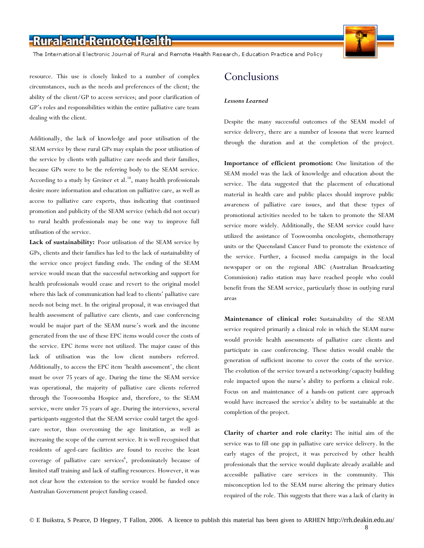The International Electronic Journal of Rural and Remote Health Research, Education Practice and Policy

resource. This use is closely linked to a number of complex circumstances, such as the needs and preferences of the client; the ability of the client/GP to access services; and poor clarification of GP's roles and responsibilities within the entire palliative care team dealing with the client.

Additionally, the lack of knowledge and poor utilisation of the SEAM service by these rural GPs may explain the poor utilisation of the service by clients with palliative care needs and their families, because GPs were to be the referring body to the SEAM service. According to a study by Greiner et al.<sup>18</sup>, many health professionals desire more information and education on palliative care, as well as access to palliative care experts, thus indicating that continued promotion and publicity of the SEAM service (which did not occur) to rural health professionals may be one way to improve full utilisation of the service.

**Lack of sustainability:** Poor utilisation of the SEAM service by GPs, clients and their families has led to the lack of sustainability of the service once project funding ends. The ending of the SEAM service would mean that the successful networking and support for health professionals would cease and revert to the original model where this lack of communication had lead to clients' palliative care needs not being met. In the original proposal, it was envisaged that health assessment of palliative care clients, and case conferencing would be major part of the SEAM nurse's work and the income generated from the use of these EPC items would cover the costs of the service. EPC items were not utilized. The major cause of this lack of utilisation was the low client numbers referred. Additionally, to access the EPC item 'health assessment', the client must be over 75 years of age. During the time the SEAM service was operational, the majority of palliative care clients referred through the Toowoomba Hospice and, therefore, to the SEAM service, were under 75 years of age. During the interviews, several participants suggested that the SEAM service could target the agedcare sector, thus overcoming the age limitation, as well as increasing the scope of the current service. It is well recognised that residents of aged-care facilities are found to receive the least coverage of palliative care services<sup>6</sup>, predominately because of limited staff training and lack of staffing resources. However, it was not clear how the extension to the service would be funded once Australian Government project funding ceased.

### Conclusions

#### *Lessons Learned*

Despite the many successful outcomes of the SEAM model of service delivery, there are a number of lessons that were learned through the duration and at the completion of the project.

**Importance of efficient promotion:** One limitation of the SEAM model was the lack of knowledge and education about the service. The data suggested that the placement of educational material in health care and public places should improve public awareness of palliative care issues, and that these types of promotional activities needed to be taken to promote the SEAM service more widely. Additionally, the SEAM service could have utilized the assistance of Toowoomba oncologists, chemotherapy units or the Queensland Cancer Fund to promote the existence of the service. Further, a focused media campaign in the local newspaper or on the regional ABC (Australian Broadcasting Commission) radio station may have reached people who could benefit from the SEAM service, particularly those in outlying rural areas

**Maintenance of clinical role:** Sustainability of the SEAM service required primarily a clinical role in which the SEAM nurse would provide health assessments of palliative care clients and participate in case conferencing. These duties would enable the generation of sufficient income to cover the costs of the service. The evolution of the service toward a networking/capacity building role impacted upon the nurse's ability to perform a clinical role. Focus on and maintenance of a hands-on patient care approach would have increased the service's ability to be sustainable at the completion of the project.

**Clarity of charter and role clarity:** The initial aim of the service was to fill one gap in palliative care service delivery. In the early stages of the project, it was perceived by other health professionals that the service would duplicate already available and accessible palliative care services in the community. This misconception led to the SEAM nurse altering the primary duties required of the role. This suggests that there was a lack of clarity in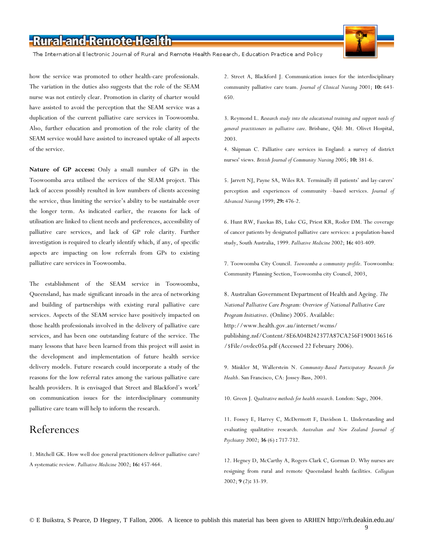The International Electronic Journal of Rural and Remote Health Research, Education Practice and Policy

how the service was promoted to other health-care professionals. The variation in the duties also suggests that the role of the SEAM nurse was not entirely clear. Promotion in clarity of charter would have assisted to avoid the perception that the SEAM service was a duplication of the current palliative care services in Toowoomba. Also, further education and promotion of the role clarity of the SEAM service would have assisted to increased uptake of all aspects of the service.

**Nature of GP access:** Only a small number of GPs in the Toowoomba area utilised the services of the SEAM project. This lack of access possibly resulted in low numbers of clients accessing the service, thus limiting the service's ability to be sustainable over the longer term. As indicated earlier, the reasons for lack of utilisation are linked to client needs and preferences, accessibility of palliative care services, and lack of GP role clarity. Further investigation is required to clearly identify which, if any, of specific aspects are impacting on low referrals from GPs to existing palliative care services in Toowoomba.

The establishment of the SEAM service in Toowoomba, Queensland, has made significant inroads in the area of networking and building of partnerships with existing rural palliative care services. Aspects of the SEAM service have positively impacted on those health professionals involved in the delivery of palliative care services, and has been one outstanding feature of the service. The many lessons that have been learned from this project will assist in the development and implementation of future health service delivery models. Future research could incorporate a study of the reasons for the low referral rates among the various palliative care health providers. It is envisaged that Street and Blackford's work<sup>2</sup> on communication issues for the interdisciplinary community palliative care team will help to inform the research.

### References

1. Mitchell GK. How well doe general practitioners deliver palliative care? A systematic review. *Palliative Medicine* 2002; **16:** 457-464.

2. Street A, Blackford J. Communication issues for the interdisciplinary community palliative care team. *Journal of Clinical Nursing* 2001; **10:** 643- 650.

3. Reymond L. *Research study into the educational training and support needs of general practitioners in palliative care*. Brisbane, Qld: Mt. Olivet Hospital, 2003.

4. Shipman C. Palliative care services in England: a survey of district nurses' views. *British Journal of Community Nursing* 2005; **10:** 381-6.

5. Jarrett NJ, Payne SA, Wiles RA. Terminally ill patients' and lay-carers' perception and experiences of community –based services. *Journal of Advanced Nursing* 1999; **29:** 476-2.

6. Hunt RW, Fazekas BS, Luke CG, Priest KR, Roder DM. The coverage of cancer patients by designated palliative care services: a population-based study, South Australia, 1999. *Palliative Medicine* 2002; **16:** 403-409.

7. Toowoomba City Council. *Toowoomba a community profile*. Toowoomba: Community Planning Section, Toowoomba city Council, 2003,

8. Australian Government Department of Health and Ageing. *The National Palliative Care Program: Overview of National Palliative Care Program Initiatives*. (Online) 2005. Available: http://www.health.gov.au/internet/wcms/ publishing.nsf/Content/8E6A04B242377A87CA256F1900136516 /\$File/ovdec05a.pdf (Accessed 22 February 2006).

9. Minkler M, Wallerstein N. *Community-Based Participatory Research for Health*. San Francisco, CA: Jossey-Bass, 2003.

10. Green J. *Qualitative methods for health research*. London: Sage, 2004.

11. Fossey E, Harrey C, McDermott F, Davidson L. Understanding and evaluating qualitative research. *Australian and New Zealand Journal of Psychiatry* 2002; **36** (6) **:** 717-732.

12. Hegney D, McCarthy A, Rogers-Clark C, Gorman D. Why nurses are resigning from rural and remote Queensland health facilities. *Collegian* 2002; **9** (2)**:** 33-39.